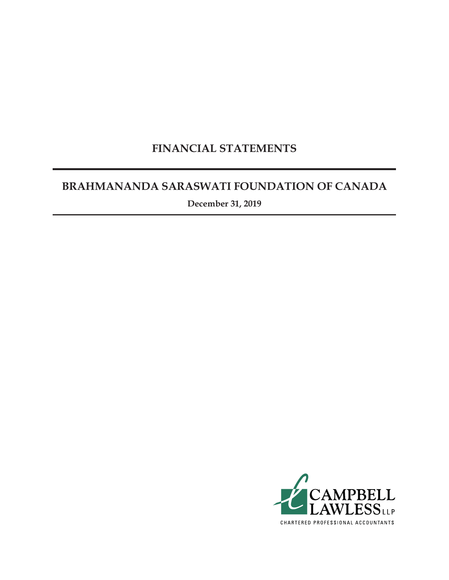### **FINANCIAL STATEMENTS**

### **BRAHMANANDA SARASWATI FOUNDATION OF CANADA**

**December 31, 2019**

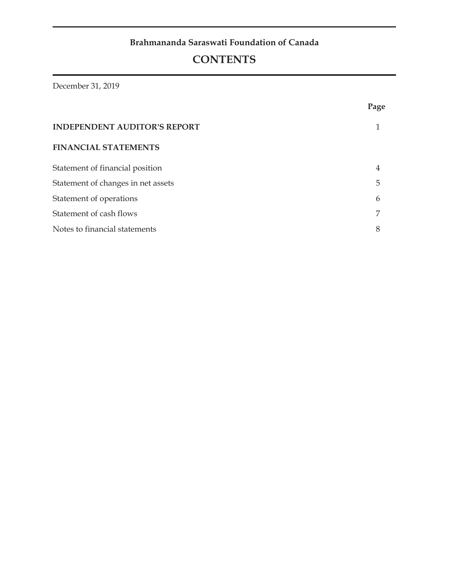### **Brahmananda Saraswati Foundation of Canada**

### **CONTENTS**

December 31, 2019

|                                     | Page |
|-------------------------------------|------|
| <b>INDEPENDENT AUDITOR'S REPORT</b> |      |
| <b>FINANCIAL STATEMENTS</b>         |      |
| Statement of financial position     | 4    |
| Statement of changes in net assets  | 5    |
| Statement of operations             | 6    |
| Statement of cash flows             | 7    |
| Notes to financial statements       | 8    |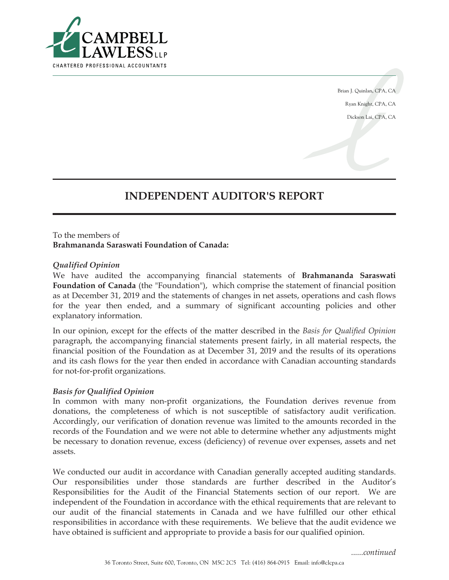

Brian J. Quinlan, CPA, CA Ryan Knight, CPA, CA Dickson Lai, CPA, CA

### **INDEPENDENT AUDITOR'S REPORT**

#### To the members of **Brahmananda Saraswati Foundation of Canada:**

#### *Qualified Opinion*

We have audited the accompanying financial statements of **Brahmananda Saraswati Foundation of Canada** (the "Foundation"), which comprise the statement of financial position as at December 31, 2019 and the statements of changes in net assets, operations and cash flows for the year then ended, and a summary of significant accounting policies and other explanatory information.

In our opinion, except for the effects of the matter described in the *Basis for Qualified Opinion* paragraph, the accompanying financial statements present fairly, in all material respects, the financial position of the Foundation as at December 31, 2019 and the results of its operations and its cash flows for the year then ended in accordance with Canadian accounting standards for not-for-profit organizations.

#### *Basis for Qualified Opinion*

In common with many non-profit organizations, the Foundation derives revenue from donations, the completeness of which is not susceptible of satisfactory audit verification. Accordingly, our verification of donation revenue was limited to the amounts recorded in the records of the Foundation and we were not able to determine whether any adjustments might be necessary to donation revenue, excess (deficiency) of revenue over expenses, assets and net assets.

We conducted our audit in accordance with Canadian generally accepted auditing standards. Our responsibilities under those standards are further described in the Auditor's Responsibilities for the Audit of the Financial Statements section of our report. We are independent of the Foundation in accordance with the ethical requirements that are relevant to our audit of the financial statements in Canada and we have fulfilled our other ethical responsibilities in accordance with these requirements. We believe that the audit evidence we have obtained is sufficient and appropriate to provide a basis for our qualified opinion.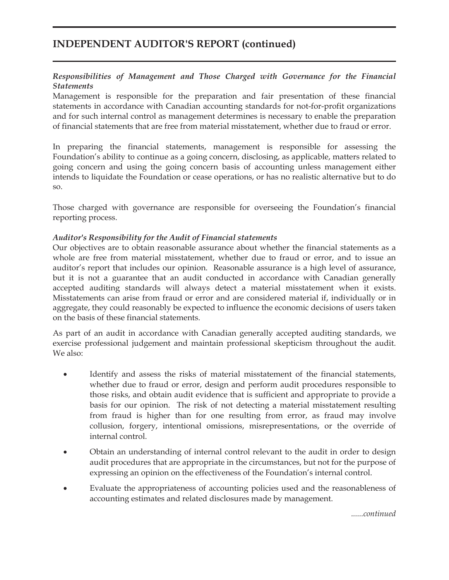### **INDEPENDENT AUDITOR'S REPORT (continued)**

### *Responsibilities of Management and Those Charged with Governance for the Financial Statements*

Management is responsible for the preparation and fair presentation of these financial statements in accordance with Canadian accounting standards for not-for-profit organizations and for such internal control as management determines is necessary to enable the preparation of financial statements that are free from material misstatement, whether due to fraud or error.

In preparing the financial statements, management is responsible for assessing the Foundation's ability to continue as a going concern, disclosing, as applicable, matters related to going concern and using the going concern basis of accounting unless management either intends to liquidate the Foundation or cease operations, or has no realistic alternative but to do so.

Those charged with governance are responsible for overseeing the Foundation's financial reporting process.

#### *Auditor's Responsibility for the Audit of Financial statements*

Our objectives are to obtain reasonable assurance about whether the financial statements as a whole are free from material misstatement, whether due to fraud or error, and to issue an auditor's report that includes our opinion. Reasonable assurance is a high level of assurance, but it is not a guarantee that an audit conducted in accordance with Canadian generally accepted auditing standards will always detect a material misstatement when it exists. Misstatements can arise from fraud or error and are considered material if, individually or in aggregate, they could reasonably be expected to influence the economic decisions of users taken on the basis of these financial statements.

As part of an audit in accordance with Canadian generally accepted auditing standards, we exercise professional judgement and maintain professional skepticism throughout the audit. We also:

- Identify and assess the risks of material misstatement of the financial statements, whether due to fraud or error, design and perform audit procedures responsible to those risks, and obtain audit evidence that is sufficient and appropriate to provide a basis for our opinion. The risk of not detecting a material misstatement resulting from fraud is higher than for one resulting from error, as fraud may involve collusion, forgery, intentional omissions, misrepresentations, or the override of internal control.
- ! Obtain an understanding of internal control relevant to the audit in order to design audit procedures that are appropriate in the circumstances, but not for the purpose of expressing an opinion on the effectiveness of the Foundation's internal control.
- ! Evaluate the appropriateness of accounting policies used and the reasonableness of accounting estimates and related disclosures made by management.

*......continued*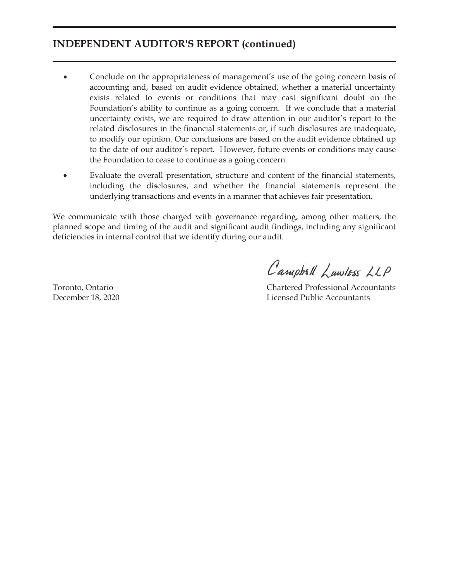### **INDEPENDENT AUDITOR'S REPORT (continued)**

- ! Conclude on the appropriateness of management's use of the going concern basis of accounting and, based on audit evidence obtained, whether a material uncertainty exists related to events or conditions that may cast significant doubt on the Foundation's ability to continue as a going concern. If we conclude that a material uncertainty exists, we are required to draw attention in our auditor's report to the related disclosures in the financial statements or, if such disclosures are inadequate, to modify our opinion. Our conclusions are based on the audit evidence obtained up to the date of our auditor's report. However, future events or conditions may cause the Foundation to cease to continue as a going concern.
- ! Evaluate the overall presentation, structure and content of the financial statements, including the disclosures, and whether the financial statements represent the underlying transactions and events in a manner that achieves fair presentation.

We communicate with those charged with governance regarding, among other matters, the planned scope and timing of the audit and significant audit findings, including any significant deficiencies in internal control that we identify during our audit.

Campbell Lawless LLP

Toronto, Ontario Chartered Professional Accountants December 18, 2020 Licensed Public Accountants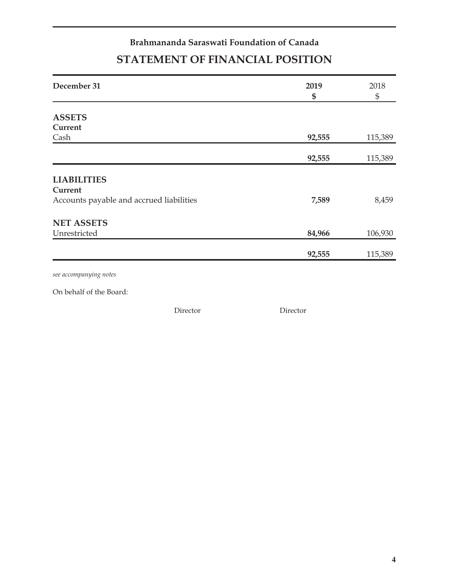### **Brahmananda Saraswati Foundation of Canada STATEMENT OF FINANCIAL POSITION**

| December 31                              | 2019   | 2018          |
|------------------------------------------|--------|---------------|
|                                          | \$     | $\frac{6}{5}$ |
|                                          |        |               |
| <b>ASSETS</b>                            |        |               |
| Current                                  |        |               |
| Cash                                     | 92,555 | 115,389       |
|                                          |        |               |
|                                          | 92,555 | 115,389       |
|                                          |        |               |
| <b>LIABILITIES</b>                       |        |               |
| Current                                  |        |               |
| Accounts payable and accrued liabilities | 7,589  | 8,459         |
|                                          |        |               |
| <b>NET ASSETS</b>                        |        |               |
| Unrestricted                             | 84,966 | 106,930       |
|                                          |        |               |
|                                          | 92,555 | 115,389       |
|                                          |        |               |

*see accompanying notes*

On behalf of the Board:

Director Director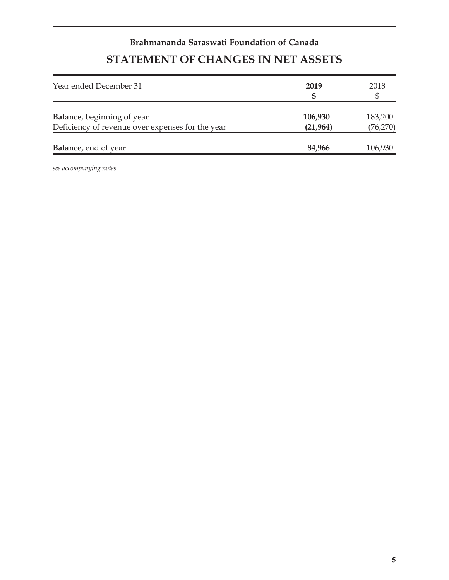## **Brahmananda Saraswati Foundation of Canada STATEMENT OF CHANGES IN NET ASSETS**

| Year ended December 31                                                                 | 2019                | 2018                 |
|----------------------------------------------------------------------------------------|---------------------|----------------------|
| <b>Balance</b> , beginning of year<br>Deficiency of revenue over expenses for the year | 106,930<br>(21,964) | 183,200<br>(76, 270) |
| <b>Balance</b> , end of year                                                           | 84,966              | 106,930              |

*see accompanying notes*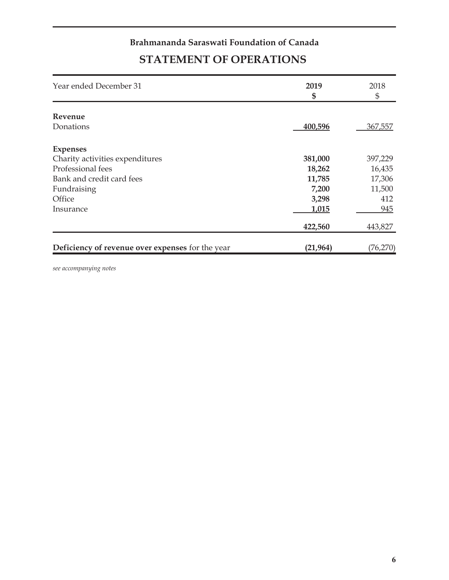### **Brahmananda Saraswati Foundation of Canada STATEMENT OF OPERATIONS**

| Year ended December 31                           | 2019<br>\$ | 2018<br>\$ |
|--------------------------------------------------|------------|------------|
| Revenue                                          |            |            |
| Donations                                        | 400,596    | 367,557    |
| <b>Expenses</b>                                  |            |            |
| Charity activities expenditures                  | 381,000    | 397,229    |
| Professional fees                                | 18,262     | 16,435     |
| Bank and credit card fees                        | 11,785     | 17,306     |
| Fundraising                                      | 7,200      | 11,500     |
| Office                                           | 3,298      | 412        |
| Insurance                                        | 1,015      | 945        |
|                                                  | 422,560    | 443,827    |
| Deficiency of revenue over expenses for the year | (21, 964)  | (76, 270)  |

*see accompanying notes*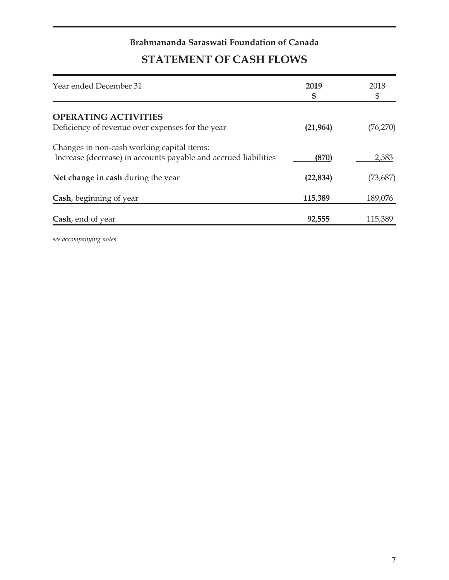# **Brahmananda Saraswati Foundation of Canada**

## **STATEMENT OF CASH FLOWS**

| Year ended December 31                                                                                        | 2019<br>\$ | 2018<br>\$ |
|---------------------------------------------------------------------------------------------------------------|------------|------------|
| <b>OPERATING ACTIVITIES</b>                                                                                   |            |            |
| Deficiency of revenue over expenses for the year                                                              | (21, 964)  | (76, 270)  |
| Changes in non-cash working capital items:<br>Increase (decrease) in accounts payable and accrued liabilities | (870)      | 2,583      |
| Net change in cash during the year                                                                            | (22, 834)  | (73, 687)  |
| Cash, beginning of year                                                                                       | 115,389    | 189,076    |
| Cash, end of year                                                                                             | 92,555     | 115,389    |

*see accompanying notes*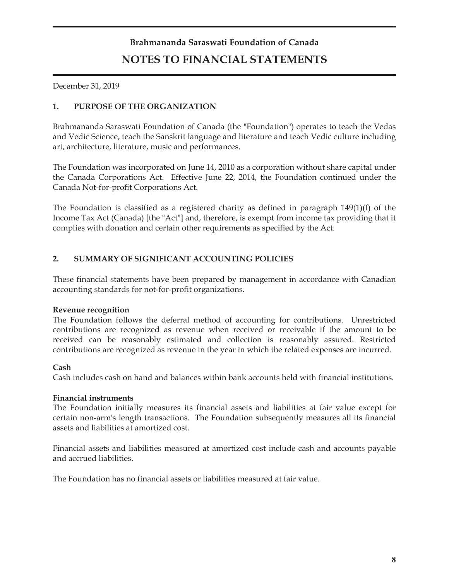## **Brahmananda Saraswati Foundation of Canada NOTES TO FINANCIAL STATEMENTS**

December 31, 2019

### **1. PURPOSE OF THE ORGANIZATION**

Brahmananda Saraswati Foundation of Canada (the "Foundation") operates to teach the Vedas and Vedic Science, teach the Sanskrit language and literature and teach Vedic culture including art, architecture, literature, music and performances.

The Foundation was incorporated on June 14, 2010 as a corporation without share capital under the Canada Corporations Act. Effective June 22, 2014, the Foundation continued under the Canada Not-for-profit Corporations Act.

The Foundation is classified as a registered charity as defined in paragraph 149(1)(f) of the Income Tax Act (Canada) [the "Act"] and, therefore, is exempt from income tax providing that it complies with donation and certain other requirements as specified by the Act.

### **2. SUMMARY OF SIGNIFICANT ACCOUNTING POLICIES**

These financial statements have been prepared by management in accordance with Canadian accounting standards for not-for-profit organizations.

#### **Revenue recognition**

The Foundation follows the deferral method of accounting for contributions. Unrestricted contributions are recognized as revenue when received or receivable if the amount to be received can be reasonably estimated and collection is reasonably assured. Restricted contributions are recognized as revenue in the year in which the related expenses are incurred.

#### **Cash**

Cash includes cash on hand and balances within bank accounts held with financial institutions.

#### **Financial instruments**

The Foundation initially measures its financial assets and liabilities at fair value except for certain non-arm's length transactions. The Foundation subsequently measures all its financial assets and liabilities at amortized cost.

Financial assets and liabilities measured at amortized cost include cash and accounts payable and accrued liabilities.

The Foundation has no financial assets or liabilities measured at fair value.